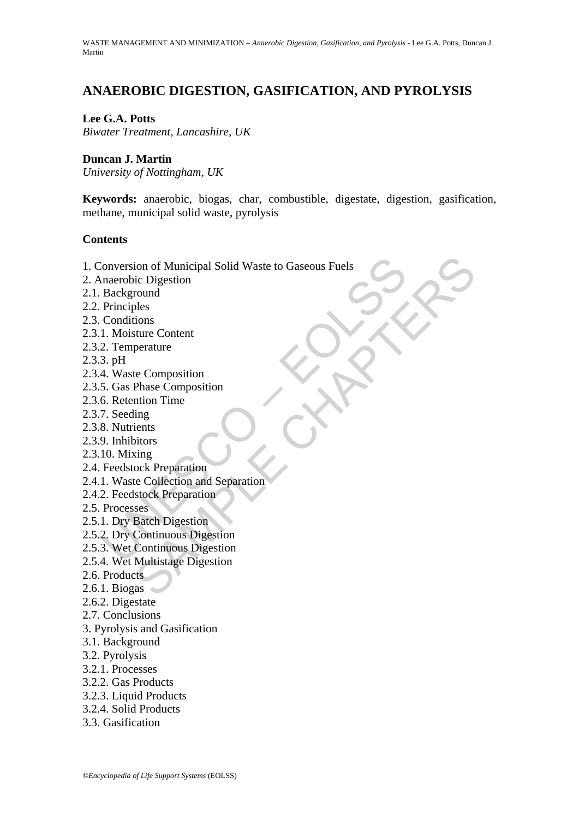# **ANAEROBIC DIGESTION, GASIFICATION, AND PYROLYSIS**

#### **Lee G.A. Potts**

*Biwater Treatment, Lancashire, UK* 

#### **Duncan J. Martin**

*University of Nottingham, UK* 

**Keywords:** anaerobic, biogas, char, combustible, digestate, digestion, gasification, methane, municipal solid waste, pyrolysis

#### **Contents**

- Forestion of Municipal Solid Waste to Gaseous Fuels<br>
naerobic Digestion<br>
Background<br>
Dinciples<br>
Conditions<br>
1. Moisture Content<br>
1. Moisture Content<br>
2. Temperature<br>
3. pH<br>
4. Waste Composition<br>
5. Gas Phase Composition<br>
7 ion of Municipal Solid Waste to Gaseous Fuels<br>ic Digestion<br>cound<br>bles<br>bles<br>dions<br>ture Content<br>perature<br>perature<br>perature<br>in Space Composition<br>ing<br>tins<br>dion Time<br>cock Preparation<br>stock Perparation<br>stock Perparation<br>stock Pe 1. Conversion of Municipal Solid Waste to Gaseous Fuels
- 2. Anaerobic Digestion
- 2.1. Background
- 2.2. Principles
- 2.3. Conditions
- 2.3.1. Moisture Content
- 2.3.2. Temperature
- 2.3.3. pH
- 2.3.4. Waste Composition
- 2.3.5. Gas Phase Composition
- 2.3.6. Retention Time
- 2.3.7. Seeding
- 2.3.8. Nutrients
- 2.3.9. Inhibitors
- 2.3.10. Mixing
- 2.4. Feedstock Preparation
- 2.4.1. Waste Collection and Separation
- 2.4.2. Feedstock Preparation
- 2.5. Processes
- 2.5.1. Dry Batch Digestion
- 2.5.2. Dry Continuous Digestion
- 2.5.3. Wet Continuous Digestion
- 2.5.4. Wet Multistage Digestion
- 2.6. Products
- 2.6.1. Biogas  $\triangle$
- 2.6.2. Digestate
- 2.7. Conclusions
- 3. Pyrolysis and Gasification
- 3.1. Background
- 3.2. Pyrolysis
- 3.2.1. Processes
- 3.2.2. Gas Products
- 3.2.3. Liquid Products
- 3.2.4. Solid Products
- 3.3. Gasification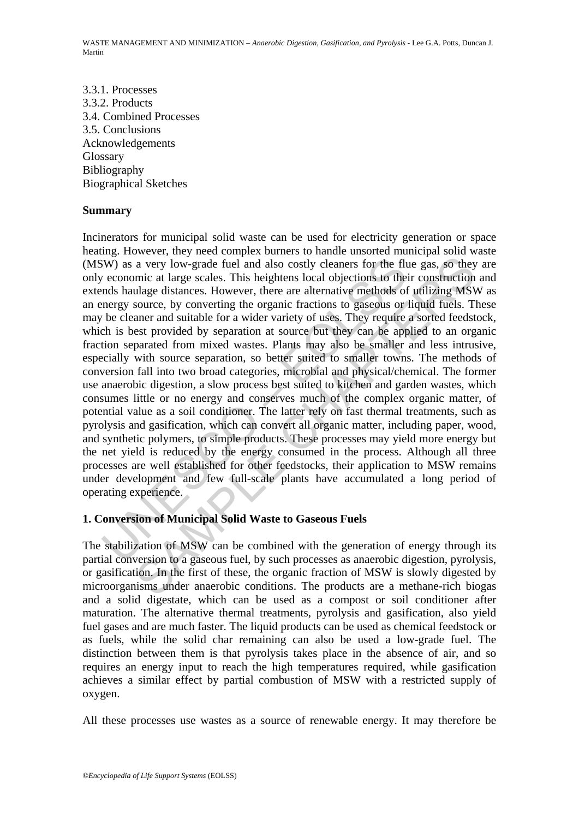3.3.1. Processes 3.3.2. Products 3.4. Combined Processes 3.5. Conclusions Acknowledgements Glossary Bibliography Biographical Sketches

#### **Summary**

W) as a very low-grade fuel and also costly cleaners for the flu economic at large scales. This heightens local objections to the mds haulage distances. However, there are alternative methods of the cleaner and suitable fo a very low-grade fuel and also costly cleaners for the flue gas, so they<br>a very low-grade fuel and also costly cleaners for the flue gas, so they<br>mic at large scales. This heightens local objections to their construction<br>u Incinerators for municipal solid waste can be used for electricity generation or space heating. However, they need complex burners to handle unsorted municipal solid waste (MSW) as a very low-grade fuel and also costly cleaners for the flue gas, so they are only economic at large scales. This heightens local objections to their construction and extends haulage distances. However, there are alternative methods of utilizing MSW as an energy source, by converting the organic fractions to gaseous or liquid fuels. These may be cleaner and suitable for a wider variety of uses. They require a sorted feedstock, which is best provided by separation at source but they can be applied to an organic fraction separated from mixed wastes. Plants may also be smaller and less intrusive, especially with source separation, so better suited to smaller towns. The methods of conversion fall into two broad categories, microbial and physical/chemical. The former use anaerobic digestion, a slow process best suited to kitchen and garden wastes, which consumes little or no energy and conserves much of the complex organic matter, of potential value as a soil conditioner. The latter rely on fast thermal treatments, such as pyrolysis and gasification, which can convert all organic matter, including paper, wood, and synthetic polymers, to simple products. These processes may yield more energy but the net yield is reduced by the energy consumed in the process. Although all three processes are well established for other feedstocks, their application to MSW remains under development and few full-scale plants have accumulated a long period of operating experience.

#### **1. Conversion of Municipal Solid Waste to Gaseous Fuels**

The stabilization of MSW can be combined with the generation of energy through its partial conversion to a gaseous fuel, by such processes as anaerobic digestion, pyrolysis, or gasification. In the first of these, the organic fraction of MSW is slowly digested by microorganisms under anaerobic conditions. The products are a methane-rich biogas and a solid digestate, which can be used as a compost or soil conditioner after maturation. The alternative thermal treatments, pyrolysis and gasification, also yield fuel gases and are much faster. The liquid products can be used as chemical feedstock or as fuels, while the solid char remaining can also be used a low-grade fuel. The distinction between them is that pyrolysis takes place in the absence of air, and so requires an energy input to reach the high temperatures required, while gasification achieves a similar effect by partial combustion of MSW with a restricted supply of oxygen.

All these processes use wastes as a source of renewable energy. It may therefore be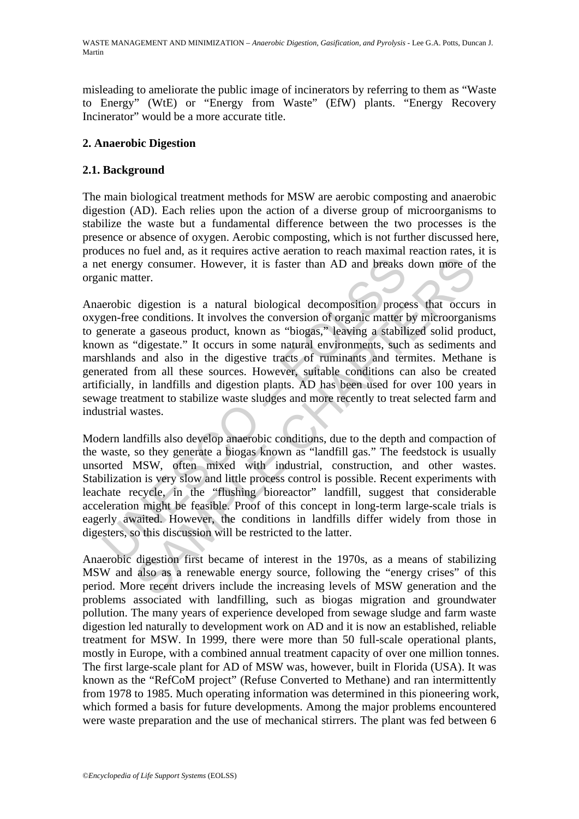misleading to ameliorate the public image of incinerators by referring to them as "Waste to Energy" (WtE) or "Energy from Waste" (EfW) plants. "Energy Recovery Incinerator" would be a more accurate title.

### **2. Anaerobic Digestion**

## **2.1. Background**

The main biological treatment methods for MSW are aerobic composting and anaerobic digestion (AD). Each relies upon the action of a diverse group of microorganisms to stabilize the waste but a fundamental difference between the two processes is the presence or absence of oxygen. Aerobic composting, which is not further discussed here, produces no fuel and, as it requires active aeration to reach maximal reaction rates, it is a net energy consumer. However, it is faster than AD and breaks down more of the organic matter.

ext energy consumer. However, it is faster than AD and breaks<br>mic matter.<br>erobic digestion is a natural biological decomposition proce<br>gen-free conditions. It involves the conversion of organic matter ten-<br>enerate a gaseou by consumer. However, it is faster than AD and breaks down more of<br>tter.<br>digestion is a natural biological decomposition process that occur-<br>e conditions. It involves the conversion of organic matter by microorgani<br>a gaseo Anaerobic digestion is a natural biological decomposition process that occurs in oxygen-free conditions. It involves the conversion of organic matter by microorganisms to generate a gaseous product, known as "biogas," leaving a stabilized solid product, known as "digestate." It occurs in some natural environments, such as sediments and marshlands and also in the digestive tracts of ruminants and termites. Methane is generated from all these sources. However, suitable conditions can also be created artificially, in landfills and digestion plants. AD has been used for over 100 years in sewage treatment to stabilize waste sludges and more recently to treat selected farm and industrial wastes.

Modern landfills also develop anaerobic conditions, due to the depth and compaction of the waste, so they generate a biogas known as "landfill gas." The feedstock is usually unsorted MSW, often mixed with industrial, construction, and other wastes. Stabilization is very slow and little process control is possible. Recent experiments with leachate recycle, in the "flushing bioreactor" landfill, suggest that considerable acceleration might be feasible. Proof of this concept in long-term large-scale trials is eagerly awaited. However, the conditions in landfills differ widely from those in digesters, so this discussion will be restricted to the latter.

Anaerobic digestion first became of interest in the 1970s, as a means of stabilizing MSW and also as a renewable energy source, following the "energy crises" of this period. More recent drivers include the increasing levels of MSW generation and the problems associated with landfilling, such as biogas migration and groundwater pollution. The many years of experience developed from sewage sludge and farm waste digestion led naturally to development work on AD and it is now an established, reliable treatment for MSW. In 1999, there were more than 50 full-scale operational plants, mostly in Europe, with a combined annual treatment capacity of over one million tonnes. The first large-scale plant for AD of MSW was, however, built in Florida (USA). It was known as the "RefCoM project" (Refuse Converted to Methane) and ran intermittently from 1978 to 1985. Much operating information was determined in this pioneering work, which formed a basis for future developments. Among the major problems encountered were waste preparation and the use of mechanical stirrers. The plant was fed between 6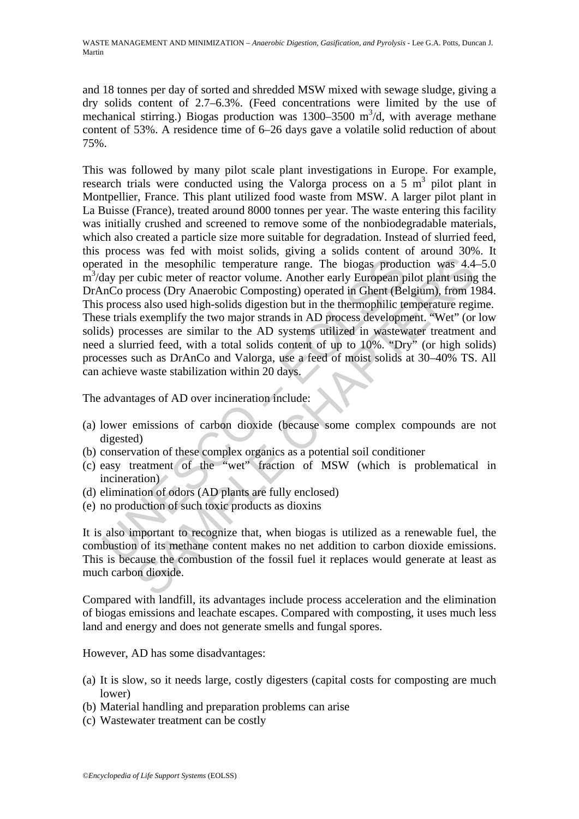and 18 tonnes per day of sorted and shredded MSW mixed with sewage sludge, giving a dry solids content of 2.7–6.3%. (Feed concentrations were limited by the use of mechanical stirring.) Biogas production was  $1300-3500$  m<sup>3</sup>/d, with average methane content of 53%. A residence time of 6–26 days gave a volatile solid reduction of about 75%.

rated in the mesophilic temperature range. The biogas produ<br>at a metally per cubic meter of reactor volume. Another early European p<br>anCo process (Dry Anaerobic Composting) operated in Ghent (Be<br>process also used high-soli In the mesophilic temperature range. The biogas production was 4.4<br>cubic meter of reactor volume. Another early European pilot plant using<br>cocess (Dry Anaerobic Composting) operated in Ghent (Belgium, from 1<br>is sa slao use This was followed by many pilot scale plant investigations in Europe. For example, research trials were conducted using the Valorga process on a  $5 \text{ m}^3$  pilot plant in Montpellier, France. This plant utilized food waste from MSW. A larger pilot plant in La Buisse (France), treated around 8000 tonnes per year. The waste entering this facility was initially crushed and screened to remove some of the nonbiodegradable materials, which also created a particle size more suitable for degradation. Instead of slurried feed, this process was fed with moist solids, giving a solids content of around 30%. It operated in the mesophilic temperature range. The biogas production was 4.4–5.0 m<sup>3</sup>/day per cubic meter of reactor volume. Another early European pilot plant using the DrAnCo process (Dry Anaerobic Composting) operated in Ghent (Belgium), from 1984. This process also used high-solids digestion but in the thermophilic temperature regime. These trials exemplify the two major strands in AD process development. "Wet" (or low solids) processes are similar to the AD systems utilized in wastewater treatment and need a slurried feed, with a total solids content of up to 10%. "Dry" (or high solids) processes such as DrAnCo and Valorga, use a feed of moist solids at 30–40% TS. All can achieve waste stabilization within 20 days.

The advantages of AD over incineration include:

- (a) lower emissions of carbon dioxide (because some complex compounds are not digested)
- (b) conservation of these complex organics as a potential soil conditioner
- (c) easy treatment of the "wet" fraction of MSW (which is problematical in incineration)
- (d) elimination of odors (AD plants are fully enclosed)
- (e) no production of such toxic products as dioxins

It is also important to recognize that, when biogas is utilized as a renewable fuel, the combustion of its methane content makes no net addition to carbon dioxide emissions. This is because the combustion of the fossil fuel it replaces would generate at least as much carbon dioxide.

Compared with landfill, its advantages include process acceleration and the elimination of biogas emissions and leachate escapes. Compared with composting*,* it uses much less land and energy and does not generate smells and fungal spores.

However, AD has some disadvantages:

- (a) It is slow, so it needs large, costly digesters (capital costs for composting are much lower)
- (b) Material handling and preparation problems can arise
- (c) Wastewater treatment can be costly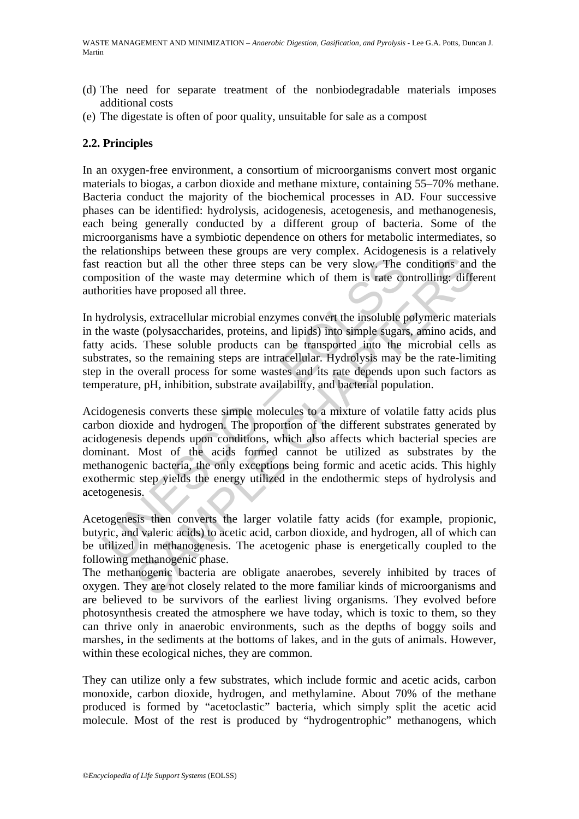- (d) The need for separate treatment of the nonbiodegradable materials imposes additional costs
- (e) The digestate is often of poor quality, unsuitable for sale as a compost

#### **2.2. Principles**

In an oxygen-free environment, a consortium of microorganisms convert most organic materials to bioga*s*, a carbon dioxide and methane mixture, containing 55–70% methane. Bacteria conduct the majority of the biochemical processes in AD. Four successive phases can be identified: hydrolysis, acidogenesis, acetogenesis, and methanogenesis, each being generally conducted by a different group of bacteria. Some of the microorganisms have a symbiotic dependence on others for metabolic intermediates, so the relationships between these groups are very complex. Acidogenesis is a relatively fast reaction but all the other three steps can be very slow. The conditions and the composition of the waste may determine which of them is rate controlling: different authorities have proposed all three.

In hydrolysis, extracellular microbial enzymes convert the insoluble polymeric materials in the waste (polysaccharides, proteins, and lipids) into simple sugars, amino acids, and fatty acids. These soluble products can be transported into the microbial cells as substrates, so the remaining steps are intracellular. Hydrolysis may be the rate-limiting step in the overall process for some wastes and its rate depends upon such factors as temperature, pH, inhibition, substrate availability, and bacterial population.

reaction but all the other three steps can be very slow. The oposition of the waste may determine which of them is rate co<br>orities have proposed all three.<br>ydrolysis, extracellular microbial enzymes convert the insoluble p In the unit of the most mean the steps can be very slow. The conditions and<br>an of the waste may determine which of them is rate controlling: difference proposed all three.<br>
is, extracellular microbial enzymes convert the i Acidogenesis converts these simple molecules to a mixture of volatile fatty acids plus carbon dioxide and hydrogen. The proportion of the different substrates generated by acidogenesis depends upon conditions, which also affects which bacterial species are dominant. Most of the acids formed cannot be utilized as substrates by the methanogenic bacteria, the only exceptions being formic and acetic acids. This highly exothermic step yields the energy utilized in the endothermic steps of hydrolysis and acetogenesis.

Acetogenesis then converts the larger volatile fatty acids (for example, propionic, butyric, and valeric acids) to acetic acid, carbon dioxide, and hydrogen, all of which can be utilized in methanogenesis. The acetogenic phase is energetically coupled to the following methanogenic phase.

The methanogenic bacteria are obligate anaerobes, severely inhibited by traces of oxygen. They are not closely related to the more familiar kinds of microorganisms and are believed to be survivors of the earliest living organisms. They evolved before photosynthesis created the atmosphere we have today, which is toxic to them, so they can thrive only in anaerobic environments, such as the depths of boggy soils and marshes, in the sediments at the bottoms of lakes, and in the guts of animals. However, within these ecological niches, they are common.

They can utilize only a few substrates*,* which include formic and acetic acids, carbon monoxide, carbon dioxide, hydrogen, and methylamine. About 70% of the methane produced is formed by "acetoclastic" bacteria, which simply split the acetic acid molecule. Most of the rest is produced by "hydrogentrophic" methanogens, which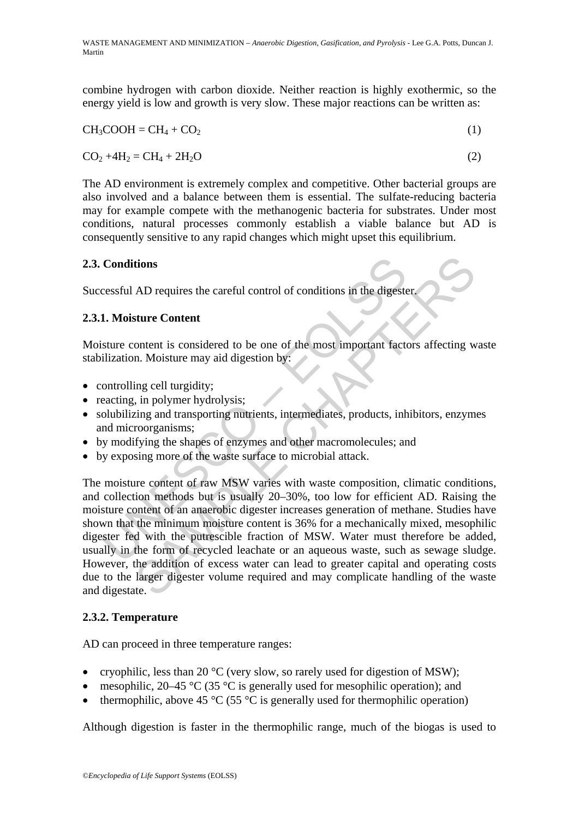combine hydrogen with carbon dioxide. Neither reaction is highly exothermic, so the energy yield is low and growth is very slow. These major reactions can be written as:

$$
CH3COOH = CH4 + CO2
$$
 (1)

$$
CO2 + 4H2 = CH4 + 2H2O
$$
 (2)

The AD environment is extremely complex and competitive. Other bacterial groups are also involved and a balance between them is essential. The sulfate-reducing bacteria may for example compete with the methanogenic bacteria for substrates. Under most conditions, natural processes commonly establish a viable balance but AD is consequently sensitive to any rapid changes which might upset this equilibrium.

#### **2.3. Conditions**

Successful AD requires the careful control of conditions in the digester.

#### **2.3.1. Moisture Content**

Moisture content is considered to be one of the most important factors affecting waste stabilization. Moisture may aid digestion by:

- controlling cell turgidity;
- reacting, in polymer hydrolysis;
- solubilizing and transporting nutrients, intermediates, products, inhibitors, enzymes and microorganisms;
- by modifying the shapes of enzymes and other macromolecules; and
- by exposing more of the waste surface to microbial attack.

**Conditions**<br> **Conditions**<br> **Conditions**<br> **Conditions**<br> **Conditions**<br> **Conditions**<br> **Condition**<br> **Condition**<br> **Condition**<br> **Condition**<br> **Condition**<br> **Conditions**<br> **Conditions**<br> **Conditions**<br> **Conditions**<br> **Conditions**<br> **Co EXECUTE:**<br> **SAD requires the careful control of conditions in the digester.**<br> **Stature Content**<br> **Stature Content**<br> **Stature may aid digestion by:**<br> **I.** Moisture may aid digestion by:<br>
In going cell turgidity;<br>
in going The moisture content of raw MSW varies with waste composition, climatic conditions, and collection methods but is usually 20–30%, too low for efficient AD. Raising the moisture content of an anaerobic digester increases generation of methane. Studies have shown that the minimum moisture content is 36% for a mechanically mixed, mesophilic digester fed with the putrescible fraction of MSW. Water must therefore be added, usually in the form of recycled leachate or an aqueous waste, such as sewage sludge. However, the addition of excess water can lead to greater capital and operating costs due to the larger digester volume required and may complicate handling of the waste and digestate.

#### **2.3.2. Temperature**

AD can proceed in three temperature ranges:

- cryophilic, less than 20 °C (very slow, so rarely used for digestion of MSW);
- mesophilic, 20–45  $\degree$ C (35  $\degree$ C is generally used for mesophilic operation); and
- thermophilic, above 45  $\degree$ C (55  $\degree$ C is generally used for thermophilic operation)

Although digestion is faster in the thermophilic range, much of the biogas is used to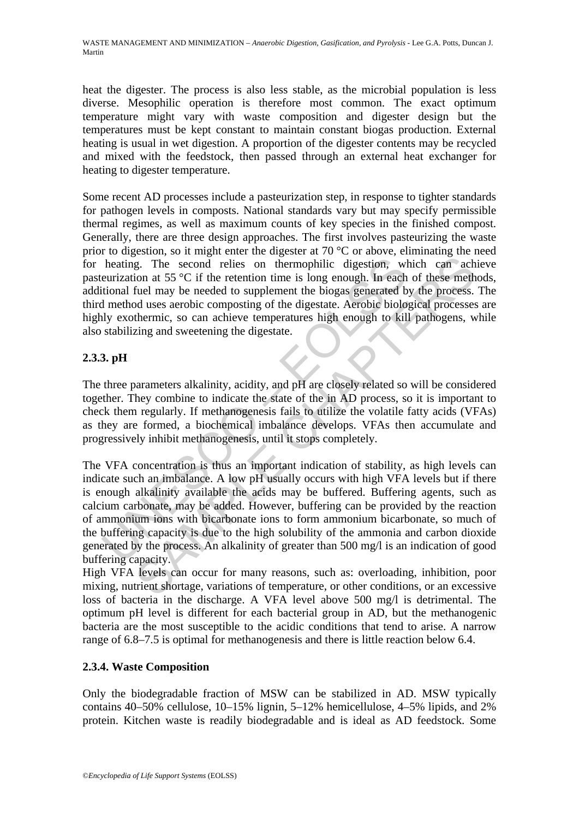heat the digester. The process is also less stable, as the microbial population is less diverse. Mesophilic operation is therefore most common. The exact optimum temperature might vary with waste composition and digester design but the temperatures must be kept constant to maintain constant biogas production. External heating is usual in wet digestion. A proportion of the digester contents may be recycled and mixed with the feedstock, then passed through an external heat exchanger for heating to digester temperature.

Some recent AD processes include a pasteurization step, in response to tighter standards for pathogen levels in composts. National standards vary but may specify permissible thermal regimes, as well as maximum counts of key species in the finished compost. Generally, there are three design approaches. The first involves pasteurizing the waste prior to digestion, so it might enter the digester at 70 °C or above, eliminating the need for heating. The second relies on thermophilic digestion, which can achieve pasteurization at 55 °C if the retention time is long enough. In each of these methods, additional fuel may be needed to supplement the biogas generated by the process. The third method uses aerobic composting of the digestate. Aerobic biological processes are highly exothermic, so can achieve temperatures high enough to kill pathogens, while also stabilizing and sweetening the digestate.

## **2.3.3. pH**

The three parameters alkalinity, acidity, and pH are closely related so will be considered together. They combine to indicate the state of the in AD process, so it is important to check them regularly. If methanogenesis fails to utilize the volatile fatty acids (VFAs) as they are formed, a biochemical imbalance develops. VFAs then accumulate and progressively inhibit methanogenesis, until it stops completely.

heating. The second relies on thermophilic digestion, we<br>
neurization at 55 °C if the retention time is long enough. In each<br>
tional fuel may be needed to supplement the biogas generated b<br>
nethod uses aerobic composting g. The second relies on thermophilic digestion, which can ach<br>ion at 55 °C if the retention time is long enough. In each of these meth<br>fuel may be needed to supplement the biogas generated by the process.<br>thermic, so can The VFA concentration is thus an important indication of stability, as high levels can indicate such an imbalance. A low pH usually occurs with high VFA levels but if there is enough alkalinity available the acids may be buffered. Buffering agents, such as calcium carbonate, may be added. However, buffering can be provided by the reaction of ammonium ions with bicarbonate ions to form ammonium bicarbonate, so much of the buffering capacity is due to the high solubility of the ammonia and carbon dioxide generated by the process. An alkalinity of greater than 500 mg/l is an indication of good buffering capacity.

High VFA levels can occur for many reasons, such as: overloading, inhibition, poor mixing, nutrient shortage, variations of temperature, or other conditions, or an excessive loss of bacteria in the discharge. A VFA level above 500 mg/l is detrimental. The optimum pH level is different for each bacterial group in AD, but the methanogenic bacteria are the most susceptible to the acidic conditions that tend to arise. A narrow range of 6.8–7.5 is optimal for methanogenesis and there is little reaction below 6.4.

#### **2.3.4. Waste Composition**

Only the biodegradable fraction of MSW can be stabilized in AD. MSW typically contains 40–50% cellulose, 10–15% lignin, 5–12% hemicellulose, 4–5% lipids, and 2% protein. Kitchen waste is readily biodegradable and is ideal as AD feedstock. Some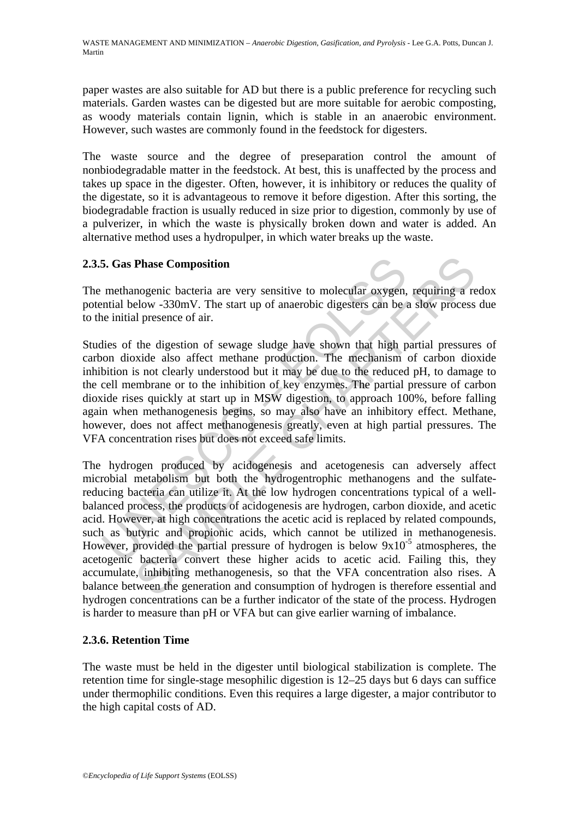paper wastes are also suitable for AD but there is a public preference for recycling such materials. Garden wastes can be digested but are more suitable for aerobic composting, as woody materials contain lignin, which is stable in an anaerobic environment. However, such wastes are commonly found in the feedstock for digesters.

The waste source and the degree of preseparation control the amount of nonbiodegradable matter in the feedstock. At best, this is unaffected by the process and takes up space in the digester. Often, however, it is inhibitory or reduces the quality of the digestate, so it is advantageous to remove it before digestion. After this sorting, the biodegradable fraction is usually reduced in size prior to digestion, commonly by use of a pulverizer, in which the waste is physically broken down and water is added. An alternative method uses a hydropulper, in which water breaks up the waste.

#### **2.3.5. Gas Phase Composition**

The methanogenic bacteria are very sensitive to molecular oxygen, requiring a redox potential below -330mV. The start up of anaerobic digesters can be a slow process due to the initial presence of air.

5. Gas Phase Composition<br>methanogenic bacteria are very sensitive to molecular oxygen,<br>methanogenic bacteria are very sensitive to molecular oxygen,<br>metal below -330mV. The start up of anaerobic digesters can be i<br>e initia Studies of the digestion of sewage sludge have shown that high partial pressures of carbon dioxide also affect methane production. The mechanism of carbon dioxide inhibition is not clearly understood but it may be due to the reduced pH, to damage to the cell membrane or to the inhibition of key enzymes. The partial pressure of carbon dioxide rises quickly at start up in MSW digestion, to approach 100%, before falling again when methanogenesis begins, so may also have an inhibitory effect. Methane, however, does not affect methanogenesis greatly, even at high partial pressures. The VFA concentration rises but does not exceed safe limits.

**Phase Composition**<br>
mogenic bacteria are very sensitive to molecular oxygen, requiring a relow -330mV. The start up of anaerobic digesters can be a slow process<br>
al presence of air.<br>
the digestion of sewage sludge have s The hydrogen produced by acidogenesis and acetogenesis can adversely affect microbial metabolism but both the hydrogentrophic methanogens and the sulfatereducing bacteria can utilize it. At the low hydrogen concentrations typical of a wellbalanced process, the products of acidogenesis are hydrogen, carbon dioxide, and acetic acid. However, at high concentrations the acetic acid is replaced by related compounds, such as butyric and propionic acids, which cannot be utilized in methanogenesis. However, provided the partial pressure of hydrogen is below  $9x10^{-5}$  atmospheres, the acetogenic bacteria convert these higher acids to acetic acid. Failing this, they accumulate, inhibiting methanogenesis, so that the VFA concentration also rises. A balance between the generation and consumption of hydrogen is therefore essential and hydrogen concentrations can be a further indicator of the state of the process. Hydrogen is harder to measure than pH or VFA but can give earlier warning of imbalance.

#### **2.3.6. Retention Time**

The waste must be held in the digester until biological stabilization is complete. The retention time for single-stage mesophilic digestion is 12–25 days but 6 days can suffice under thermophilic conditions. Even this requires a large digester, a major contributor to the high capital costs of AD.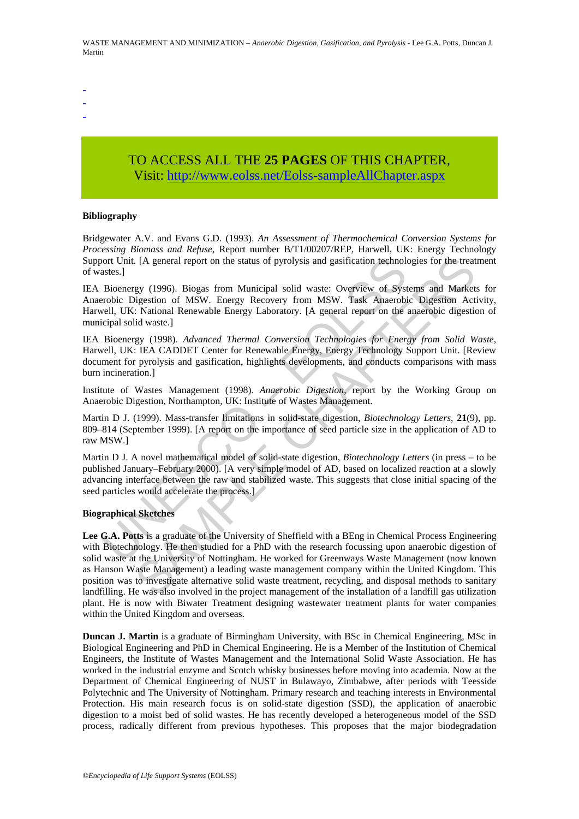- -
- -
- -

# TO ACCESS ALL THE **25 PAGES** OF THIS CHAPTER, Visi[t: http://www.eolss.net/Eolss-sampleAllChapter.aspx](https://www.eolss.net/ebooklib/sc_cart.aspx?File=E4-13-04-03)

#### **Bibliography**

Bridgewater A.V. and Evans G.D. (1993). *An Assessment of Thermochemical Conversion Systems for Processing Biomass and Refuse*, Report number B/T1/00207/REP, Harwell, UK: Energy Technology Support Unit. [A general report on the status of pyrolysis and gasification technologies for the treatment of wastes.]

or Unit. [A general report on the status of pyrolysis and gasification technolates.]<br>Bioenergy (1996). Biogas from Municipal solid waste: Overview of Systerobic Digestion of MSW. Energy Recovery from MSW. Task Anaerobiel, IEA Bioenergy (1996). Biogas from Municipal solid waste: Overview of Systems and Markets for Anaerobic Digestion of MSW. Energy Recovery from MSW. Task Anaerobic Digestion Activity, Harwell, UK: National Renewable Energy Laboratory. [A general report on the anaerobic digestion of municipal solid waste.]

IEA Bioenergy (1998). *Advanced Thermal Conversion Technologies for Energy from Solid Waste*, Harwell, UK: IEA CADDET Center for Renewable Energy, Energy Technology Support Unit. [Review document for pyrolysis and gasification, highlights developments, and conducts comparisons with mass burn incineration.]

Institute of Wastes Management (1998). *Anaerobic Digestion*, report by the Working Group on Anaerobic Digestion, Northampton, UK: Institute of Wastes Management.

Martin D J. (1999). Mass-transfer limitations in solid-state digestion, *Biotechnology Letters*, **21**(9), pp. 809–814 (September 1999). [A report on the importance of seed particle size in the application of AD to raw MSW.]

Martin D J. A novel mathematical model of solid-state digestion, *Biotechnology Letters* (in press – to be published January–February 2000). [A very simple model of AD, based on localized reaction at a slowly advancing interface between the raw and stabilized waste. This suggests that close initial spacing of the seed particles would accelerate the process.]

#### **Biographical Sketches**

. [A general report on the status of pyrolysis and gastification technologies for the treat<br>gy (1996). Biogas from Municipal solid waste: Overview of Systems and Market<br>pigestion of MSW. Energy Recovery from MSW. Task Ana **Lee G.A. Potts** is a graduate of the University of Sheffield with a BEng in Chemical Process Engineering with Biotechnology. He then studied for a PhD with the research focussing upon anaerobic digestion of solid waste at the University of Nottingham. He worked for Greenways Waste Management (now known as Hanson Waste Management) a leading waste management company within the United Kingdom. This position was to investigate alternative solid waste treatment, recycling, and disposal methods to sanitary landfilling. He was also involved in the project management of the installation of a landfill gas utilization plant. He is now with Biwater Treatment designing wastewater treatment plants for water companies within the United Kingdom and overseas.

**Duncan J. Martin** is a graduate of Birmingham University, with BSc in Chemical Engineering, MSc in Biological Engineering and PhD in Chemical Engineering. He is a Member of the Institution of Chemical Engineers, the Institute of Wastes Management and the International Solid Waste Association. He has worked in the industrial enzyme and Scotch whisky businesses before moving into academia. Now at the Department of Chemical Engineering of NUST in Bulawayo, Zimbabwe, after periods with Teesside Polytechnic and The University of Nottingham. Primary research and teaching interests in Environmental Protection. His main research focus is on solid-state digestion (SSD), the application of anaerobic digestion to a moist bed of solid wastes. He has recently developed a heterogeneous model of the SSD process, radically different from previous hypotheses. This proposes that the major biodegradation